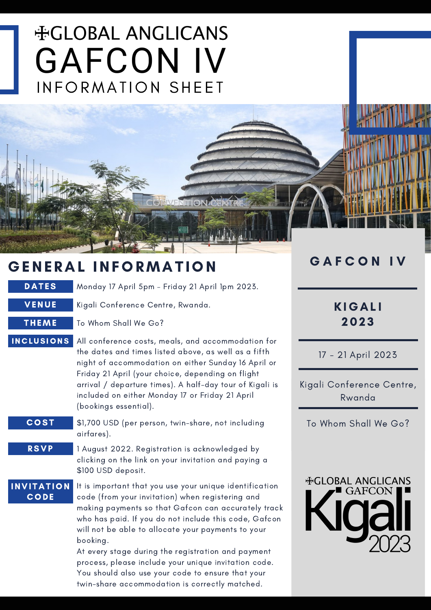# **HGLOBAL ANGLICANS** GAFCON IV INFORMATION SHEET

# GENERAL INFORMATION

DATES Monday 17 April 5pm - Friday 21 April 1pm 2023.

**ONA** 

VENUE Kigali Conference Centre, Rwanda.

THEME To Whom Shall We Go?

- All conference costs, meals, and accommodation for the dates and times listed above, as well as a fifth night of accommodation on either Sunday 16 April or Friday 21 April (your choice, depending on flight arrival / departure times). A half-day tour of Kigali is included on either Monday 17 or Friday 21 April (bookings essential). **INCLUSIONS** 
	- \$1,700 USD (per person, twin-share, not including airfares). **COST**
	- 1 August 2022. Registration is acknowledged by clicking on the link on your invitation and paying a \$100 USD deposit. RSVP

**INVITATION CODE** 

It is important that you use your unique identification code (from your invitation) when registering and making payments so that Gafcon can accurately track who has paid. If you do not include this code, Gafcon will not be able to allocate your payments to your booking.

At every stage during the registration and payment process, please include your unique invitation code. You should also use your code to ensure that your twin-share accommodation is correctly matched.

# GAFCON IV

# **KIGALI** 202 3

17 - 21 April 2023

Kigali Conference Centre, Rwanda

To Whom Shall We Go?